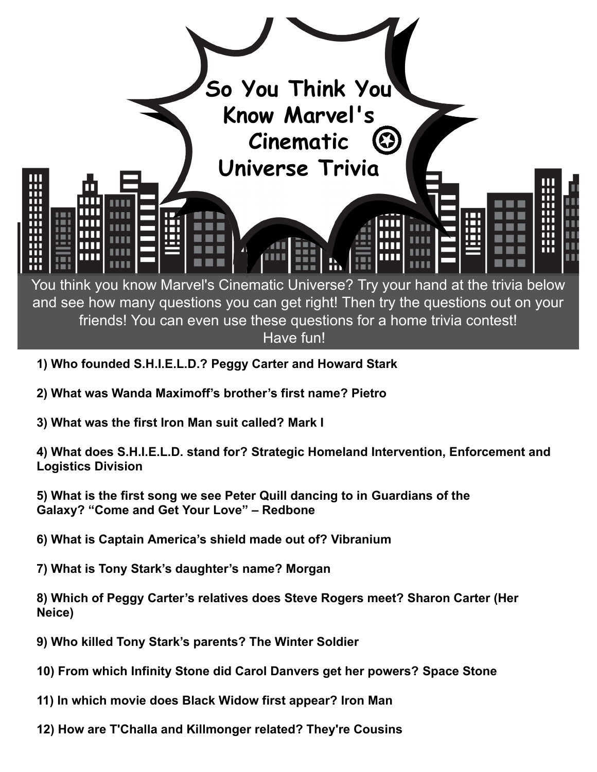

- **1) Who founded S.H.I.E.L.D.? Peggy Carter and Howard Stark**
- **2) What was Wanda Maximoff's brother's first name? Pietro**
- **3) What was the first Iron Man suit called? Mark I**

**4) What does S.H.I.E.L.D. stand for? Strategic Homeland Intervention, Enforcement and Logistics Division**

**5) What is the first song we see Peter Quill dancing to in Guardians of the Galaxy? "Come and Get Your Love" – Redbone**

- **6) What is Captain America's shield made out of? Vibranium**
- **7) What is Tony Stark's daughter's name? Morgan**

**8) Which of Peggy Carter's relatives does Steve Rogers meet? Sharon Carter (Her Neice)**

- **9) Who killed Tony Stark's parents? The Winter Soldier**
- **10) From which Infinity Stone did Carol Danvers get her powers? Space Stone**
- **11) In which movie does Black Widow first appear? Iron Man**
- **12) How are T'Challa and Killmonger related? They're Cousins**